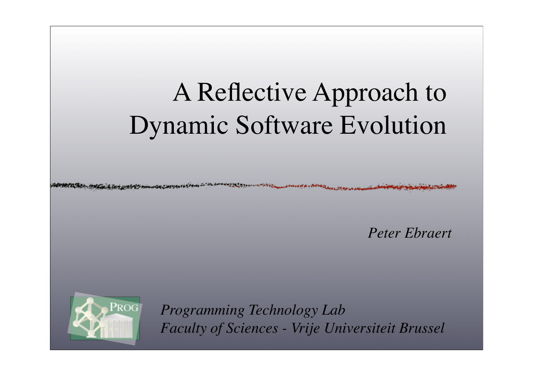# A Reflective Approach to Dynamic Software Evolution

*Peter Ebraert*



*Programming Technology Lab Faculty of Sciences - Vrije Universiteit Brussel*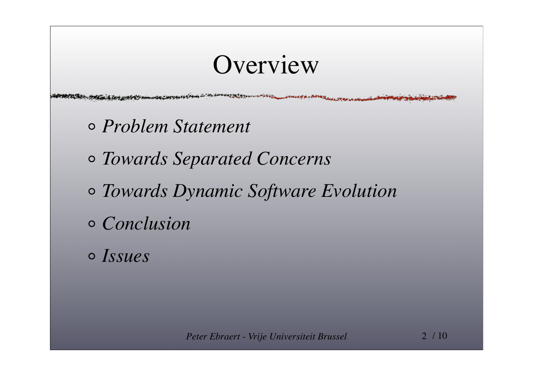### Overview

**Principal American** 

- *Problem Statement*
- *Towards Separated Concerns*
- *Towards Dynamic Software Evolution*
- *Conclusion*
- *Issues*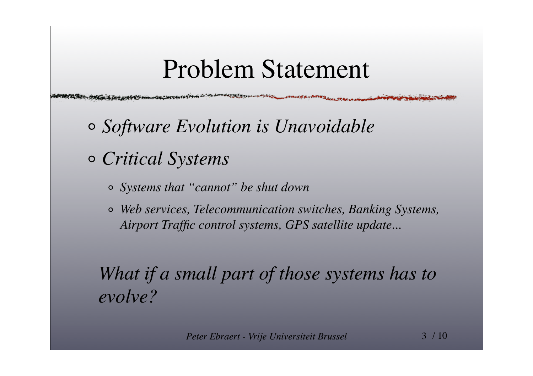### Problem Statement

**WALTER COMMANDERS COMMANDER** 

- *Software Evolution is Unavoidable*
- *Critical Systems*
	- *Systems that "cannot" be shut down*
	- *Web services, Telecommunication switches, Banking Systems, Airport Traffic control systems, GPS satellite update...*

### *What if a small part of those systems has to evolve?*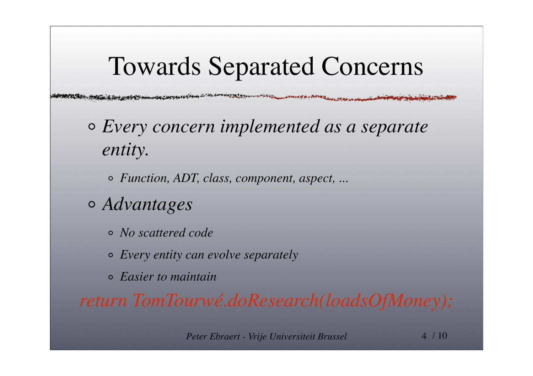## Towards Separated Concerns

- *Every concern implemented as a separate entity.*
	- *Function, ADT, class, component, aspect, ...*
- *Advantages*
	- *No scattered code*
	- *Every entity can evolve separately*
	- *Easier to maintain*

*return TomTourwé.doResearch(loadsOfMoney);*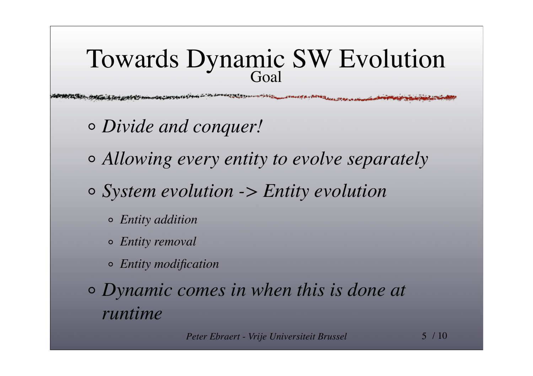#### Towards Dynamic SW Evolution Goal

المالي والمتعصف والمستنقل والأنا الأنباط والمتعارف

- *Divide and conquer!*
- *Allowing every entity to evolve separately*
- *System evolution -> Entity evolution*
	- *Entity addition*
	- *Entity removal*
	- *Entity modification*
- *Dynamic comes in when this is done at runtime*

*Peter Ebraert - Vrije Universiteit Brussel* 5 / 10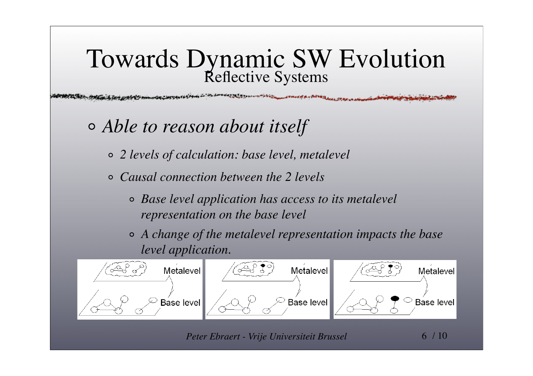### Towards Dynamic SW Evolution Reflective Systems

- *Able to reason about itself*
	- *2 levels of calculation: base level, metalevel*
	- *Causal connection between the 2 levels*  $\circ$ 
		- *Base level application has access to its metalevel representation on the base level*
		- *A change of the metalevel representation impacts the base level application.*



*Peter Ebraert - Vrije Universiteit Brussel* 6 / 10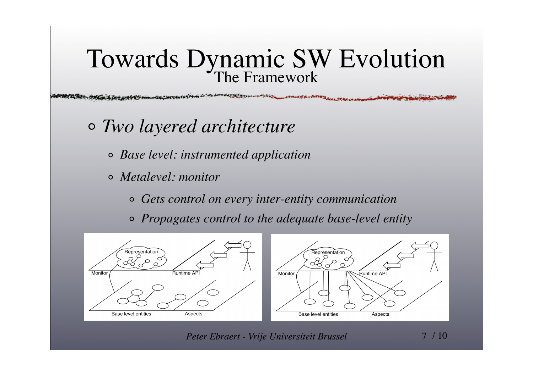#### Towards Dynamic SW Evolution The Framework

فالمتعصص

- *Two layered architecture*
	- *Base level: instrumented application*
	- *Metalevel: monitor*
		- *Gets control on every inter-entity communication*
		- *Propagates control to the adequate base-level entity*



*Peter Ebraert - Vrije Universiteit Brussel* 7 / 10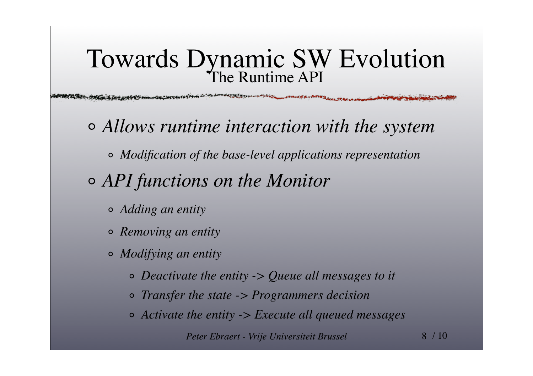#### Towards Dynamic SW Evolution The Runtime API

**いかいまでもない いっつつかんしん こうしゅうかん ループバルカ** 

- *Allows runtime interaction with the system*
	- *Modification of the base-level applications representation*
- *API functions on the Monitor*
	- *Adding an entity*
	- *Removing an entity*
	- *Modifying an entity*
		- *Deactivate the entity -> Queue all messages to it*
		- *Transfer the state -> Programmers decision*
		- *Activate the entity -> Execute all queued messages*

*Peter Ebraert - Vrije Universiteit Brussel* 8 / 10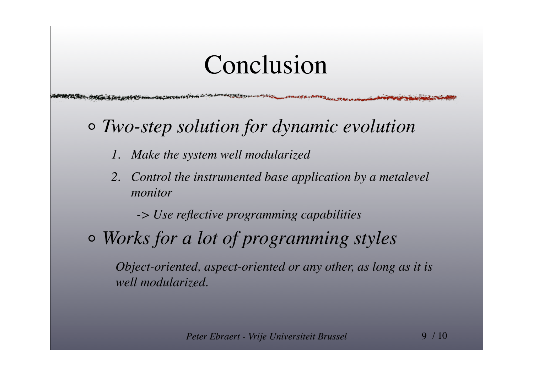### Conclusion

- *Two-step solution for dynamic evolution*
	- *1. Make the system well modularized*
	- *2. Control the instrumented base application by a metalevel monitor*

*-> Use reflective programming capabilities*

*Works for a lot of programming styles*

*Object-oriented, aspect-oriented or any other, as long as it is well modularized.*